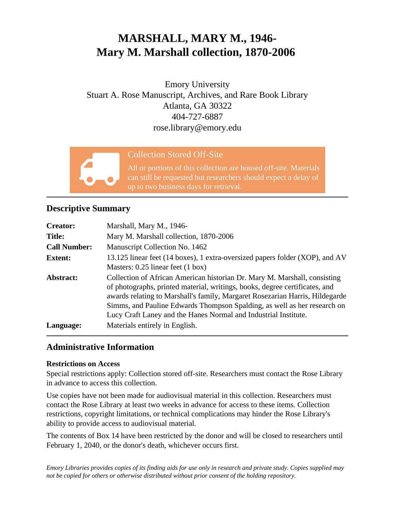# **MARSHALL, MARY M., 1946- Mary M. Marshall collection, 1870-2006**

Emory University Stuart A. Rose Manuscript, Archives, and Rare Book Library Atlanta, GA 30322 404-727-6887 rose.library@emory.edu



### Collection Stored Off-Site

All or portions of this collection are housed off-site. Materials can still be requested but researchers should expect a delay of up to two business days for retrieval.

## **Descriptive Summary**

| <b>Creator:</b>     | Marshall, Mary M., 1946-                                                                                                                                                                                                                                                                                                                                                                |
|---------------------|-----------------------------------------------------------------------------------------------------------------------------------------------------------------------------------------------------------------------------------------------------------------------------------------------------------------------------------------------------------------------------------------|
| <b>Title:</b>       | Mary M. Marshall collection, 1870-2006                                                                                                                                                                                                                                                                                                                                                  |
| <b>Call Number:</b> | Manuscript Collection No. 1462                                                                                                                                                                                                                                                                                                                                                          |
| <b>Extent:</b>      | 13.125 linear feet (14 boxes), 1 extra-oversized papers folder (XOP), and AV<br>Masters: $0.25$ linear feet $(1 \text{ box})$                                                                                                                                                                                                                                                           |
| Abstract:           | Collection of African American historian Dr. Mary M. Marshall, consisting<br>of photographs, printed material, writings, books, degree certificates, and<br>awards relating to Marshall's family, Margaret Rosezarian Harris, Hildegarde<br>Simms, and Pauline Edwards Thompson Spalding, as well as her research on<br>Lucy Craft Laney and the Hanes Normal and Industrial Institute. |
| Language:           | Materials entirely in English.                                                                                                                                                                                                                                                                                                                                                          |

# **Administrative Information**

#### **Restrictions on Access**

Special restrictions apply: Collection stored off-site. Researchers must contact the Rose Library in advance to access this collection.

Use copies have not been made for audiovisual material in this collection. Researchers must contact the Rose Library at least two weeks in advance for access to these items. Collection restrictions, copyright limitations, or technical complications may hinder the Rose Library's ability to provide access to audiovisual material.

The contents of Box 14 have been restricted by the donor and will be closed to researchers until February 1, 2040, or the donor's death, whichever occurs first.

*Emory Libraries provides copies of its finding aids for use only in research and private study. Copies supplied may not be copied for others or otherwise distributed without prior consent of the holding repository.*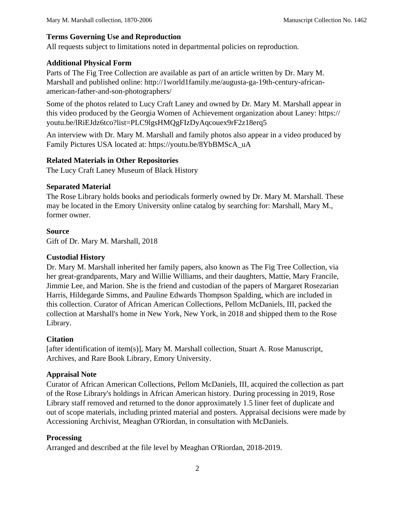#### **Terms Governing Use and Reproduction**

All requests subject to limitations noted in departmental policies on reproduction.

#### **Additional Physical Form**

Parts of The Fig Tree Collection are available as part of an article written by Dr. Mary M. Marshall and published online: http://1world1family.me/augusta-ga-19th-century-africanamerican-father-and-son-photographers/

Some of the photos related to Lucy Craft Laney and owned by Dr. Mary M. Marshall appear in this video produced by the Georgia Women of Achievement organization about Laney: https:// youtu.be/lRiEJdz6tco?list=PLC9lgsHMQgFIzDyAqcouex9rF2z18erq5

An interview with Dr. Mary M. Marshall and family photos also appear in a video produced by Family Pictures USA located at: https://youtu.be/8YbBMScA\_uA

#### **Related Materials in Other Repositories**

The Lucy Craft Laney Museum of Black History

#### **Separated Material**

The Rose Library holds books and periodicals formerly owned by Dr. Mary M. Marshall. These may be located in the Emory University online catalog by searching for: Marshall, Mary M., former owner.

#### **Source**

Gift of Dr. Mary M. Marshall, 2018

#### **Custodial History**

Dr. Mary M. Marshall inherited her family papers, also known as The Fig Tree Collection, via her great-grandparents, Mary and Willie Williams, and their daughters, Mattie, Mary Francile, Jimmie Lee, and Marion. She is the friend and custodian of the papers of Margaret Rosezarian Harris, Hildegarde Simms, and Pauline Edwards Thompson Spalding, which are included in this collection. Curator of African American Collections, Pellom McDaniels, III, packed the collection at Marshall's home in New York, New York, in 2018 and shipped them to the Rose Library.

#### **Citation**

[after identification of item(s)], Mary M. Marshall collection, Stuart A. Rose Manuscript, Archives, and Rare Book Library, Emory University.

#### **Appraisal Note**

Curator of African American Collections, Pellom McDaniels, III, acquired the collection as part of the Rose Library's holdings in African American history. During processing in 2019, Rose Library staff removed and returned to the donor approximately 1.5 liner feet of duplicate and out of scope materials, including printed material and posters. Appraisal decisions were made by Accessioning Archivist, Meaghan O'Riordan, in consultation with McDaniels.

#### **Processing**

Arranged and described at the file level by Meaghan O'Riordan, 2018-2019.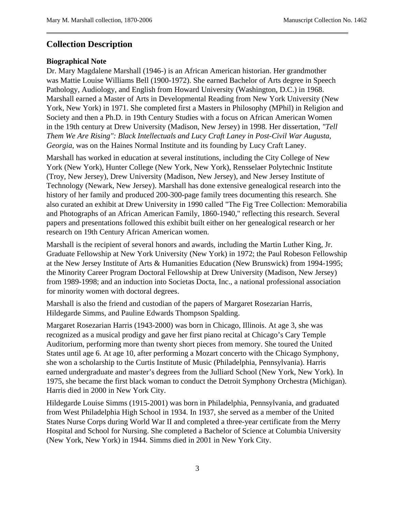#### **Collection Description**

#### **Biographical Note**

Dr. Mary Magdalene Marshall (1946-) is an African American historian. Her grandmother was Mattie Louise Williams Bell (1900-1972). She earned Bachelor of Arts degree in Speech Pathology, Audiology, and English from Howard University (Washington, D.C.) in 1968. Marshall earned a Master of Arts in Developmental Reading from New York University (New York, New York) in 1971. She completed first a Masters in Philosophy (MPhil) in Religion and Society and then a Ph.D. in 19th Century Studies with a focus on African American Women in the 19th century at Drew University (Madison, New Jersey) in 1998. Her dissertation, *"Tell Them We Are Rising": Black Intellectuals and Lucy Craft Laney in Post-Civil War Augusta, Georgia*, was on the Haines Normal Institute and its founding by Lucy Craft Laney.

Marshall has worked in education at several institutions, including the City College of New York (New York), Hunter College (New York, New York), Rensselaer Polytechnic Institute (Troy, New Jersey), Drew University (Madison, New Jersey), and New Jersey Institute of Technology (Newark, New Jersey). Marshall has done extensive genealogical research into the history of her family and produced 200-300-page family trees documenting this research. She also curated an exhibit at Drew University in 1990 called "The Fig Tree Collection: Memorabilia and Photographs of an African American Family, 1860-1940," reflecting this research. Several papers and presentations followed this exhibit built either on her genealogical research or her research on 19th Century African American women.

Marshall is the recipient of several honors and awards, including the Martin Luther King, Jr. Graduate Fellowship at New York University (New York) in 1972; the Paul Robeson Fellowship at the New Jersey Institute of Arts & Humanities Education (New Brunswick) from 1994-1995; the Minority Career Program Doctoral Fellowship at Drew University (Madison, New Jersey) from 1989-1998; and an induction into Societas Docta, Inc., a national professional association for minority women with doctoral degrees.

Marshall is also the friend and custodian of the papers of Margaret Rosezarian Harris, Hildegarde Simms, and Pauline Edwards Thompson Spalding.

Margaret Rosezarian Harris (1943-2000) was born in Chicago, Illinois. At age 3, she was recognized as a musical prodigy and gave her first piano recital at Chicago's Cary Temple Auditorium, performing more than twenty short pieces from memory. She toured the United States until age 6. At age 10, after performing a Mozart concerto with the Chicago Symphony, she won a scholarship to the Curtis Institute of Music (Philadelphia, Pennsylvania). Harris earned undergraduate and master's degrees from the Julliard School (New York, New York). In 1975, she became the first black woman to conduct the Detroit Symphony Orchestra (Michigan). Harris died in 2000 in New York City.

Hildegarde Louise Simms (1915-2001) was born in Philadelphia, Pennsylvania, and graduated from West Philadelphia High School in 1934. In 1937, she served as a member of the United States Nurse Corps during World War II and completed a three-year certificate from the Merry Hospital and School for Nursing. She completed a Bachelor of Science at Columbia University (New York, New York) in 1944. Simms died in 2001 in New York City.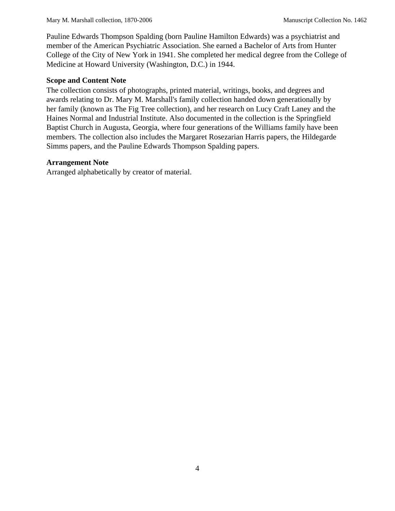Pauline Edwards Thompson Spalding (born Pauline Hamilton Edwards) was a psychiatrist and member of the American Psychiatric Association. She earned a Bachelor of Arts from Hunter College of the City of New York in 1941. She completed her medical degree from the College of Medicine at Howard University (Washington, D.C.) in 1944.

#### **Scope and Content Note**

The collection consists of photographs, printed material, writings, books, and degrees and awards relating to Dr. Mary M. Marshall's family collection handed down generationally by her family (known as The Fig Tree collection), and her research on Lucy Craft Laney and the Haines Normal and Industrial Institute. Also documented in the collection is the Springfield Baptist Church in Augusta, Georgia, where four generations of the Williams family have been members. The collection also includes the Margaret Rosezarian Harris papers, the Hildegarde Simms papers, and the Pauline Edwards Thompson Spalding papers.

#### **Arrangement Note**

Arranged alphabetically by creator of material.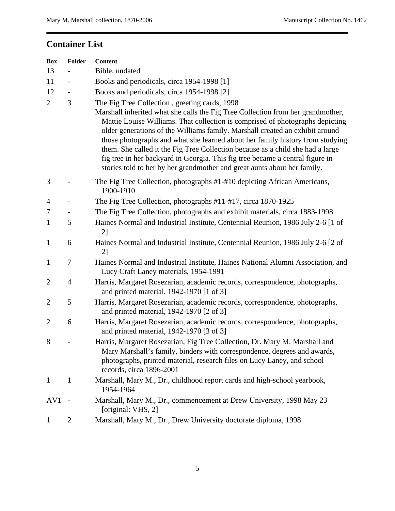# **Container List**

| <b>Box</b>      | Folder         | <b>Content</b>                                                                                                                                                                                                                                                                                                                                                                                                                                                                                                                                                                                                                    |
|-----------------|----------------|-----------------------------------------------------------------------------------------------------------------------------------------------------------------------------------------------------------------------------------------------------------------------------------------------------------------------------------------------------------------------------------------------------------------------------------------------------------------------------------------------------------------------------------------------------------------------------------------------------------------------------------|
| 13              |                | Bible, undated                                                                                                                                                                                                                                                                                                                                                                                                                                                                                                                                                                                                                    |
| 11              |                | Books and periodicals, circa 1954-1998 [1]                                                                                                                                                                                                                                                                                                                                                                                                                                                                                                                                                                                        |
| 12              |                | Books and periodicals, circa 1954-1998 [2]                                                                                                                                                                                                                                                                                                                                                                                                                                                                                                                                                                                        |
| $\overline{2}$  | 3              | The Fig Tree Collection, greeting cards, 1998<br>Marshall inherited what she calls the Fig Tree Collection from her grandmother,<br>Mattie Louise Williams. That collection is comprised of photographs depicting<br>older generations of the Williams family. Marshall created an exhibit around<br>those photographs and what she learned about her family history from studying<br>them. She called it the Fig Tree Collection because as a child she had a large<br>fig tree in her backyard in Georgia. This fig tree became a central figure in<br>stories told to her by her grandmother and great aunts about her family. |
| 3               |                | The Fig Tree Collection, photographs #1-#10 depicting African Americans,<br>1900-1910                                                                                                                                                                                                                                                                                                                                                                                                                                                                                                                                             |
| $\overline{4}$  |                | The Fig Tree Collection, photographs #11-#17, circa 1870-1925                                                                                                                                                                                                                                                                                                                                                                                                                                                                                                                                                                     |
| 7               |                | The Fig Tree Collection, photographs and exhibit materials, circa 1883-1998                                                                                                                                                                                                                                                                                                                                                                                                                                                                                                                                                       |
| $\mathbf{1}$    | 5              | Haines Normal and Industrial Institute, Centennial Reunion, 1986 July 2-6 [1 of<br>2]                                                                                                                                                                                                                                                                                                                                                                                                                                                                                                                                             |
| $\mathbf{1}$    | 6              | Haines Normal and Industrial Institute, Centennial Reunion, 1986 July 2-6 [2 of<br>2]                                                                                                                                                                                                                                                                                                                                                                                                                                                                                                                                             |
| $\mathbf{1}$    | 7              | Haines Normal and Industrial Institute, Haines National Alumni Association, and<br>Lucy Craft Laney materials, 1954-1991                                                                                                                                                                                                                                                                                                                                                                                                                                                                                                          |
| $\overline{2}$  | $\overline{4}$ | Harris, Margaret Rosezarian, academic records, correspondence, photographs,<br>and printed material, 1942-1970 [1 of 3]                                                                                                                                                                                                                                                                                                                                                                                                                                                                                                           |
| $\overline{2}$  | 5              | Harris, Margaret Rosezarian, academic records, correspondence, photographs,<br>and printed material, 1942-1970 [2 of 3]                                                                                                                                                                                                                                                                                                                                                                                                                                                                                                           |
| $\overline{2}$  | 6              | Harris, Margaret Rosezarian, academic records, correspondence, photographs,<br>and printed material, 1942-1970 [3 of 3]                                                                                                                                                                                                                                                                                                                                                                                                                                                                                                           |
| 8               |                | Harris, Margaret Rosezarian, Fig Tree Collection, Dr. Mary M. Marshall and<br>Mary Marshall's family, binders with correspondence, degrees and awards,<br>photographs, printed material, research files on Lucy Laney, and school<br>records, circa 1896-2001                                                                                                                                                                                                                                                                                                                                                                     |
| $\mathbf{1}$    | $\mathbf{1}$   | Marshall, Mary M., Dr., childhood report cards and high-school yearbook,<br>1954-1964                                                                                                                                                                                                                                                                                                                                                                                                                                                                                                                                             |
| AV <sub>1</sub> |                | Marshall, Mary M., Dr., commencement at Drew University, 1998 May 23<br>[original: VHS, 2]                                                                                                                                                                                                                                                                                                                                                                                                                                                                                                                                        |
| $\mathbf{1}$    | $\overline{2}$ | Marshall, Mary M., Dr., Drew University doctorate diploma, 1998                                                                                                                                                                                                                                                                                                                                                                                                                                                                                                                                                                   |